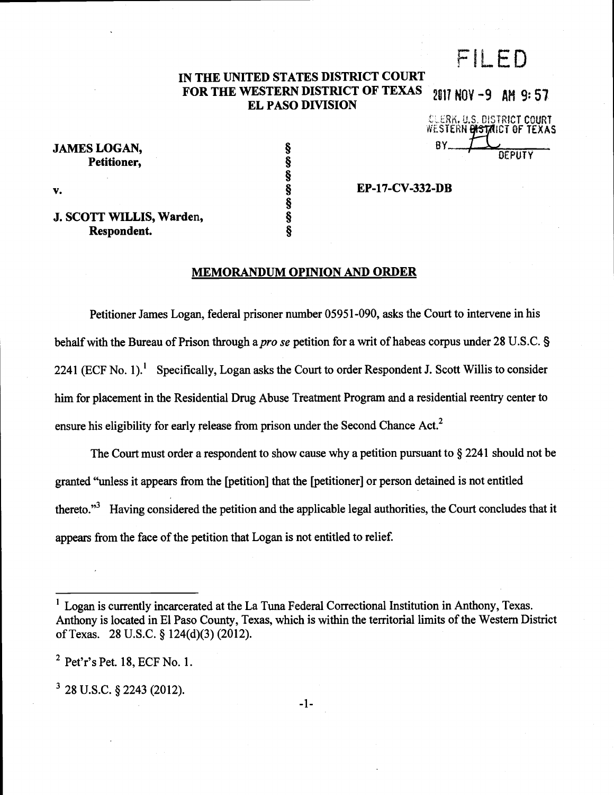# FILED

### IN THE UNITED STATES DISTRICT COURT FOR THE WESTERN DISTRICT OF TEXAS 2017 NOV -9 AM 9:57 EL PASO DIVISION

EP-17-CV-332-DB

JAMES LOGAN, Petitioner.

CLERK. U.S. DISTRICT COURT WESTERN **LASTAICT OF** BY-**DEPUTY** 

v.  $\S$ 

J. SCOTT WILLIS, Warden, Respondent.

§

§

# MEMORANDUM OPINION AND ORDER

Petitioner James Logan, federal prisoner number 05951-090, asks the Court to intervene in his behalf with the Bureau of Prison through a *pro se* petition for a writ of habeas corpus under 28 U.S.C. § 2241 (ECF No. 1).<sup>1</sup> Specifically, Logan asks the Court to order Respondent J. Scott Willis to consider him for placement in the Residential Drug Abuse Treatment Program and a residential reentry center to ensure his eligibility for early release from prison under the Second Chance Act.<sup>2</sup>

The Court must order a respondent to show cause why a petition pursuant to § 2241 should not be granted "unless it appears from the [petition] that the [petitioner] or person detained is not entitled thereto."<sup>3</sup> Having considered the petition and the applicable legal authorities, the Court concludes that it appears from the face of the petition that Logan is not entitled to relief.

 $2$  Pet'r's Pet. 18, ECF No. 1.

 $3$  28 U.S.C. § 2243 (2012).

-1-

<sup>1</sup>Logan is currently incarcerated at the La Tuna Federal Correctional Institution in Anthony, Texas. Anthony is located in El Paso County, Texas, which is within the territorial limits of the Western District of Texas. 28 U.S.C. § 124(d)(3) (2012).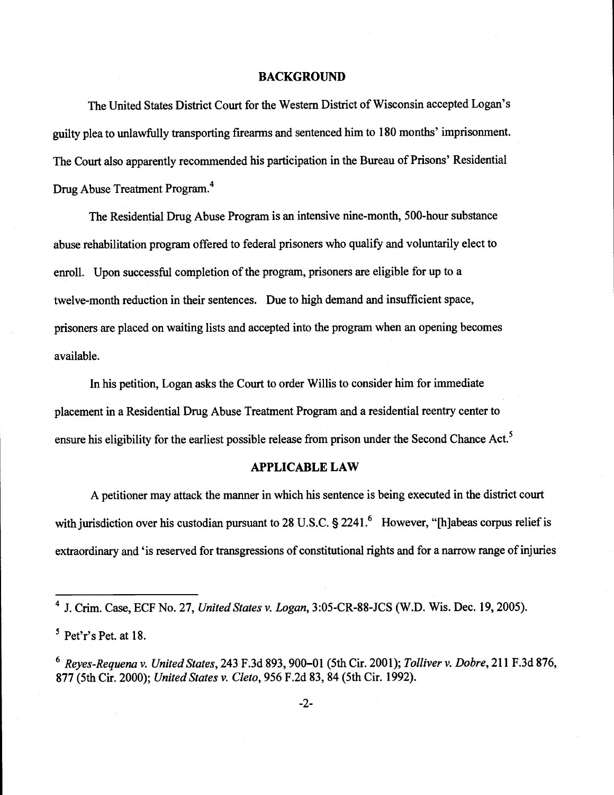## BACKGROUND

The United States District Court for the Western District of Wisconsin accepted Logan's guilty plea to unlawfully transporting firearms and sentenced him to 180 months' imprisonment. The Court also apparently recommended his participation in the Bureau of Prisons' Residential Drug Abuse Treatment Program.4

The Residential Drug Abuse Program is an intensive nine-month, 500-hour substance abuse rehabilitation program offered to federal prisoners who qualify and voluntarily elect to enroll. Upon successful completion of the program, prisoners are eligible for up to a twelve-month reduction in their sentences. Due to high demand and insufficient space, prisoners are placed on waiting lists and accepted into the program when an opening becomes available.

In his petition, Logan asks the Court to order Willis to consider him for immediate placement in a Residential Drug Abuse Treatment Program and a residential reentry center to ensure his eligibility for the earliest possible release from prison under the Second Chance Act.<sup>5</sup>

# APPLICABLE LAW

A petitioner may attack the manner in which his sentence is being executed in the district court with jurisdiction over his custodian pursuant to 28 U.S.C. § 2241.<sup>6</sup> However, "[h]abeas corpus relief is extraordinary and 'is reserved for transgressions of constitutional rights and for a narrow range of injuries

<sup>&</sup>lt;sup>4</sup> J. Crim. Case, ECF No. 27, United States v. Logan, 3:05-CR-88-JCS (W.D. Wis. Dec. 19, 2005).

 $5$  Pet'r's Pet. at 18.

<sup>&</sup>lt;sup>6</sup> Reyes-Requena v. United States, 243 F.3d 893, 900-01 (5th Cir. 2001); Tolliver v. Dobre, 211 F.3d 876, 877 (5th Cir. 2000); United States v. Cleto, 956 F.2d 83, 84 (5th Cir. 1992).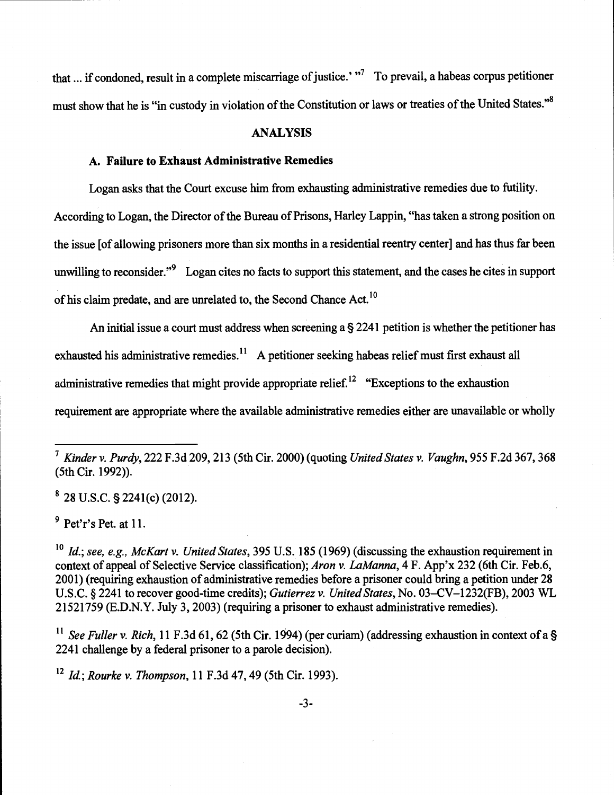that ... if condoned, result in a complete miscarriage of justice.'  $\frac{1}{10}$  To prevail, a habeas corpus petitioner must show that he is "in custody in violation of the Constitution or laws or treaties of the United States."8

# ANALYSIS

# A. Failure to Exhaust Administrative Remedies

Logan asks that the Court excuse him from exhausting administrative remedies due to futility. According to Logan, the Director of the Bureau of Prisons, Harley Lappin, "has taken a strong position on the issue [of allowing prisoners more than six months in a residential reentry center] and has thus far been unwilling to reconsider."<sup>9</sup> Logan cites no facts to support this statement, and the cases he cites in support of his claim predate, and are unrelated to, the Second Chance Act. <sup>10</sup>

An initial issue a court must address when screening a § 2241 petition is whether the petitioner has exhausted his administrative remedies.<sup>11</sup> A petitioner seeking habeas relief must first exhaust all administrative remedies that might provide appropriate relief.<sup>12</sup> "Exceptions to the exhaustion requirement are appropriate where the available administrative remedies either are unavailable or wholly

<sup>8</sup>28 U.S.C. § 224 1(c) (2012).

 $9$  Pet'r's Pet. at 11.

<sup>11</sup> See Fuller v. Rich, 11 F.3d 61, 62 (5th Cir. 1994) (per curiam) (addressing exhaustion in context of a § 2241 challenge by a federal prisoner to a parole decision).

 $12$  Id.; Rourke v. Thompson, 11 F.3d 47, 49 (5th Cir. 1993).

<sup>&</sup>lt;sup>7</sup> Kinder v. Purdy, 222 F.3d 209, 213 (5th Cir. 2000) (quoting United States v. Vaughn, 955 F.2d 367, 368 (5th Cir. 1992)).

 $10$  Id.; see, e.g., McKart v. United States, 395 U.S. 185 (1969) (discussing the exhaustion requirement in context of appeal of Selective Service classification); Aron v. LaManna, 4 F. App'x 232 (6th Cir. Feb.6, 2001) (requiring exhaustion of administrative remedies before a prisoner could bring a petition under 28 U.S.C. § 2241 to recover good-time credits); Gutierrez v. United States, No. 03–CV–1232(FB), 2003 WL 21521759 (E.D.N.Y. July 3, 2003) (requiring a prisoner to exhaust administrative remedies).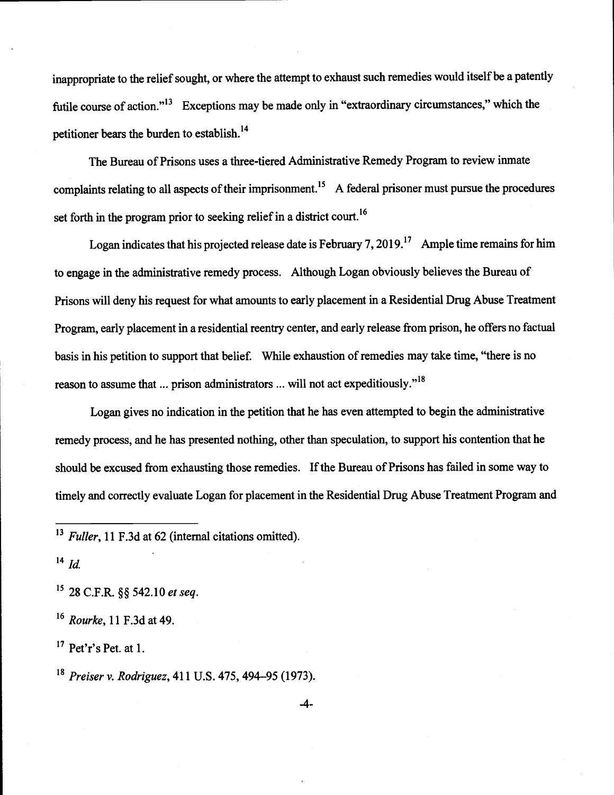inappropriate to the relief sought, or where the attempt to exhaust such remedies would itself be a patently futile course of action."<sup>13</sup> Exceptions may be made only in "extraordinary circumstances," which the petitioner bears the burden to establish.'4

The Bureau of Prisons uses a three-tiered Administrative Remedy Program to review inmate complaints relating to all aspects of their imprisonment.<sup>15</sup> A federal prisoner must pursue the procedures set forth in the program prior to seeking relief in a district court.<sup>16</sup>

Logan indicates that his projected release date is February 7, 2019.<sup>17</sup> Ample time remains for him to engage in the administrative remedy process. Although Logan obviously believes the Bureau of Prisons will deny his request for what amounts to early placement in a Residential Drug Abuse Treatment Program, early placement in a residential reentry center, and early release from prison, he offers no factual basis in his petition to support that belief. While exhaustion of remedies may take time, "there is no reason to assume that ... prison administrators ... will not act expeditiously."<sup>18</sup>

Logan gives no indication in the petition that he has even attempted to begin the administrative remedy process, and he has presented nothing, other than speculation, to support his contention that he should be excused from exhausting those remedies. If the Bureau of Prisons has failed in some way to timely and correctly evaluate Logan for placement in the Residential Drug Abuse Treatment Program and

 $^{14}$  Id.

<sup>15</sup> 28 C.F.R. §§ 542.10 et seq.

 $16$  Rourke, 11 F.3d at 49.

 $17$  Pet'r's Pet. at 1.

<sup>18</sup> Preiser v. Rodriguez, 411 U.S. 475, 494–95 (1973).

 $13$  Fuller, 11 F.3d at 62 (internal citations omitted).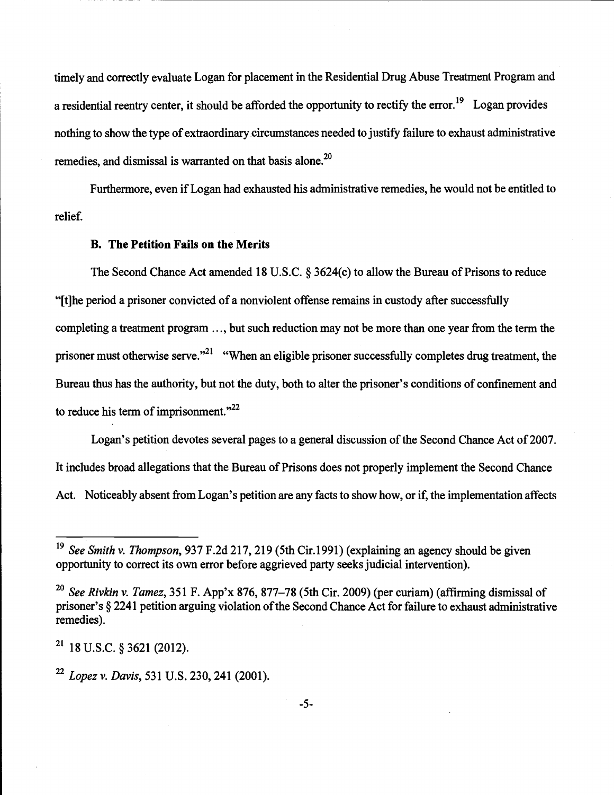timely and correctly evaluate Logan for placement in the Residential Drug Abuse Treatment Program and a residential reentry center, it should be afforded the opportunity to rectify the error.<sup>19</sup> Logan provides nothing to show the type of extraordinary circumstances needed to justify failure to exhaust administrative remedies, and dismissal is warranted on that basis alone.<sup>20</sup>

relief. Furthermore, even if Logan had exhausted his administrative remedies, he would not be entitled to

# B. The Petition Fails on the Merits

The Second Chance Act amended 18 U.S.C. § 3624(c) to allow the Bureau of Prisons to reduce "[t]he period a prisoner convicted of a nonviolent offense remains in custody after successfully completing a treatment program ..., but such reduction may not be more than one year from the term the prisoner must otherwise serve."<sup>21</sup> "When an eligible prisoner successfully completes drug treatment, the Bureau thus has the authority, but not the duty, both to alter the prisoner's conditions of confinement and to reduce his term of imprisonment. $"^{22}$ 

Logan's petition devotes several pages to a general discussion of the Second Chance Act of 2007. It includes broad allegations that the Bureau of Prisons does not properly implement the Second Chance Act. Noticeably absent from Logan's petition are any facts to show how, or if, the implementation affects

 $21$  18 U.S.C. § 3621 (2012).

<sup>&</sup>lt;sup>19</sup> See Smith v. Thompson, 937 F.2d 217, 219 (5th Cir.1991) (explaining an agency should be given opportunity to correct its own error before aggrieved party seeks judicial intervention).

<sup>&</sup>lt;sup>20</sup> See Rivkin v. Tamez, 351 F. App'x 876, 877–78 (5th Cir. 2009) (per curiam) (affirming dismissal of prisoner's § 2241 petition arguing violation of the Second Chance Act for failure to exhaust administrative remedies).

 $22$  Lopez v. Davis, 531 U.S. 230, 241 (2001).